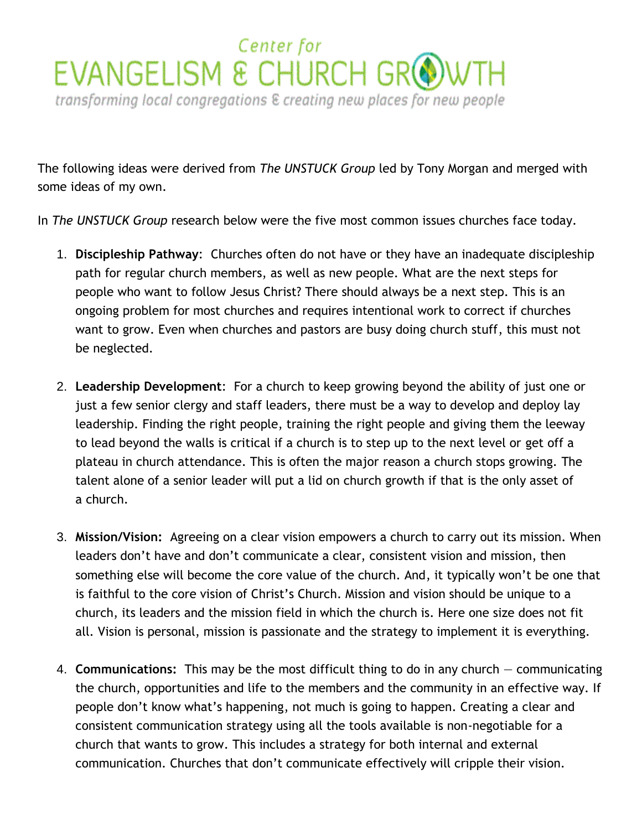## Center for EVANGELISM & CHURCH GROWT transforming local congregations & creating new places for new people

The following ideas were derived from *The UNSTUCK Group* led by Tony Morgan and merged with some ideas of my own.

In *The UNSTUCK Group* research below were the five most common issues churches face today.

- 1. **Discipleship Pathway**: Churches often do not have or they have an inadequate discipleship path for regular church members, as well as new people. What are the next steps for people who want to follow Jesus Christ? There should always be a next step. This is an ongoing problem for most churches and requires intentional work to correct if churches want to grow. Even when churches and pastors are busy doing church stuff, this must not be neglected.
- 2. **Leadership Development**: For a church to keep growing beyond the ability of just one or just a few senior clergy and staff leaders, there must be a way to develop and deploy lay leadership. Finding the right people, training the right people and giving them the leeway to lead beyond the walls is critical if a church is to step up to the next level or get off a plateau in church attendance. This is often the major reason a church stops growing. The talent alone of a senior leader will put a lid on church growth if that is the only asset of a church.
- 3. **Mission/Vision:** Agreeing on a clear vision empowers a church to carry out its mission. When leaders don't have and don't communicate a clear, consistent vision and mission, then something else will become the core value of the church. And, it typically won't be one that is faithful to the core vision of Christ's Church. Mission and vision should be unique to a church, its leaders and the mission field in which the church is. Here one size does not fit all. Vision is personal, mission is passionate and the strategy to implement it is everything.
- 4. **Communications:** This may be the most difficult thing to do in any church ― communicating the church, opportunities and life to the members and the community in an effective way. If people don't know what's happening, not much is going to happen. Creating a clear and consistent communication strategy using all the tools available is non-negotiable for a church that wants to grow. This includes a strategy for both internal and external communication. Churches that don't communicate effectively will cripple their vision.